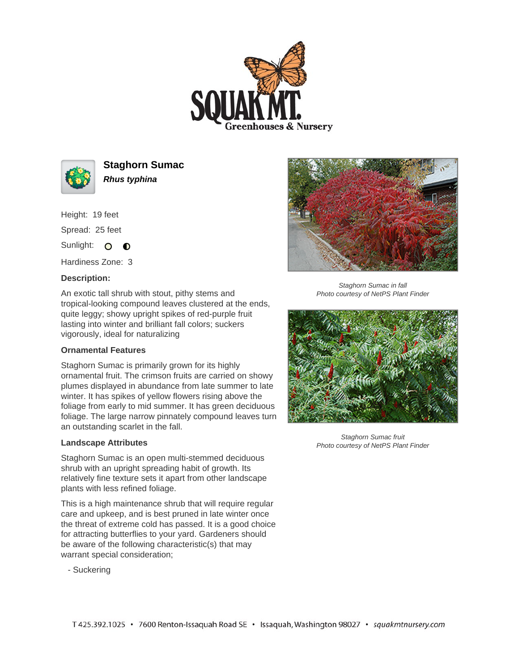



**Staghorn Sumac Rhus typhina**

Height: 19 feet Spread: 25 feet

Sunlight: O **O** 

Hardiness Zone: 3

## **Description:**

An exotic tall shrub with stout, pithy stems and tropical-looking compound leaves clustered at the ends, quite leggy; showy upright spikes of red-purple fruit lasting into winter and brilliant fall colors; suckers vigorously, ideal for naturalizing

## **Ornamental Features**

Staghorn Sumac is primarily grown for its highly ornamental fruit. The crimson fruits are carried on showy plumes displayed in abundance from late summer to late winter. It has spikes of yellow flowers rising above the foliage from early to mid summer. It has green deciduous foliage. The large narrow pinnately compound leaves turn an outstanding scarlet in the fall.

## **Landscape Attributes**

Staghorn Sumac is an open multi-stemmed deciduous shrub with an upright spreading habit of growth. Its relatively fine texture sets it apart from other landscape plants with less refined foliage.

This is a high maintenance shrub that will require regular care and upkeep, and is best pruned in late winter once the threat of extreme cold has passed. It is a good choice for attracting butterflies to your yard. Gardeners should be aware of the following characteristic(s) that may warrant special consideration;

- Suckering



Staghorn Sumac in fall Photo courtesy of NetPS Plant Finder



Staghorn Sumac fruit Photo courtesy of NetPS Plant Finder